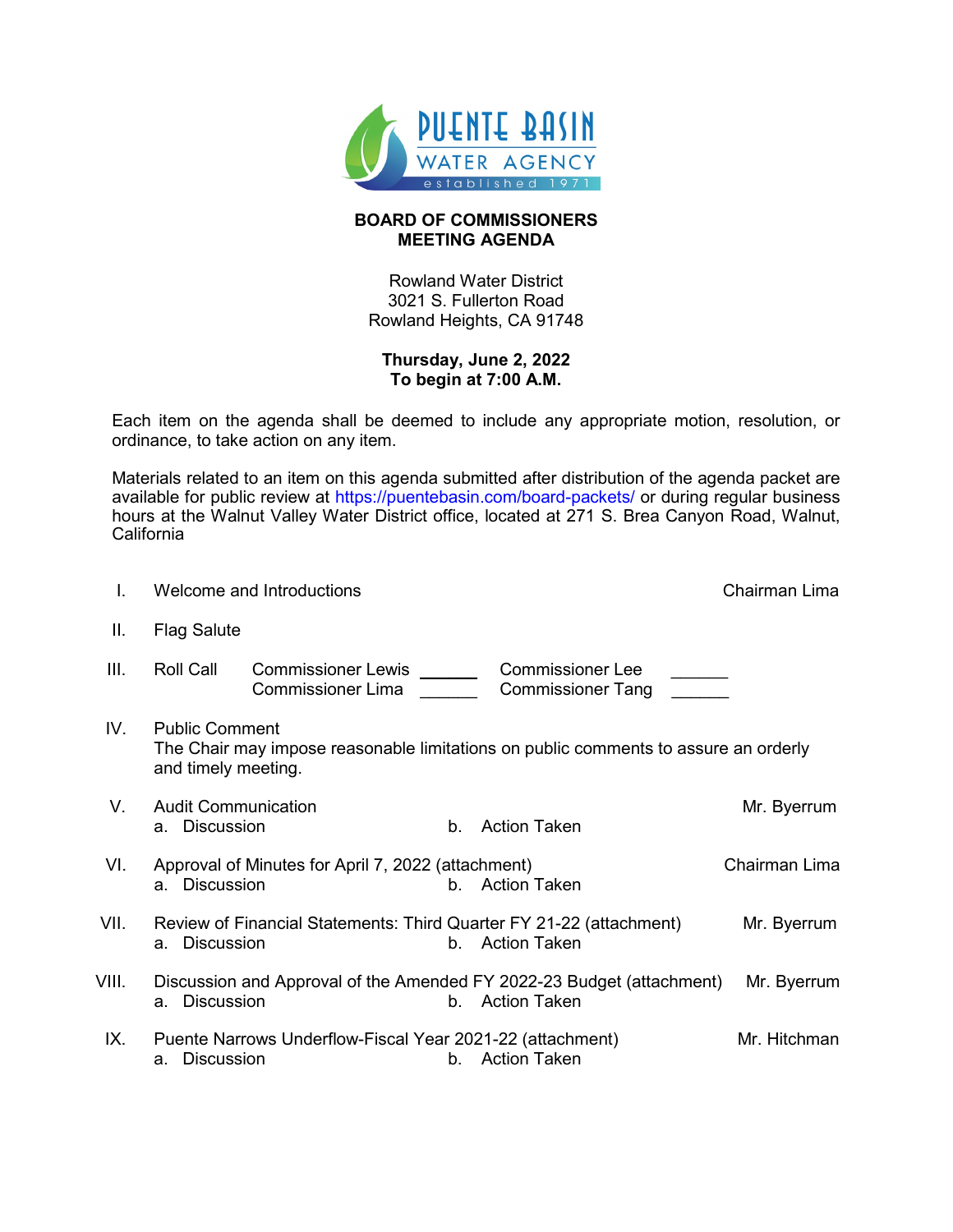

## **BOARD OF COMMISSIONERS MEETING AGENDA**

Rowland Water District 3021 S. Fullerton Road Rowland Heights, CA 91748

## **Thursday, June 2, 2022 To begin at 7:00 A.M.**

Each item on the agenda shall be deemed to include any appropriate motion, resolution, or ordinance, to take action on any item.

Materials related to an item on this agenda submitted after distribution of the agenda packet are available for public review at<https://puentebasin.com/board-packets/> or during regular business hours at the Walnut Valley Water District office, located at 271 S. Brea Canyon Road, Walnut, **California** 

| I.    | Welcome and Introductions                                                                                                           |                                                 | Chairman Lima                                                                            |               |  |
|-------|-------------------------------------------------------------------------------------------------------------------------------------|-------------------------------------------------|------------------------------------------------------------------------------------------|---------------|--|
| Ш.    | <b>Flag Salute</b>                                                                                                                  |                                                 |                                                                                          |               |  |
| III.  | <b>Roll Call</b>                                                                                                                    | Commissioner Lewis _______<br>Commissioner Lima | <b>Commissioner Lee</b><br><b>Commissioner Tang</b>                                      |               |  |
| IV.   | <b>Public Comment</b><br>The Chair may impose reasonable limitations on public comments to assure an orderly<br>and timely meeting. |                                                 |                                                                                          |               |  |
| V.    | <b>Audit Communication</b><br>a. Discussion                                                                                         | $b_{-}$                                         | <b>Action Taken</b>                                                                      | Mr. Byerrum   |  |
| VI.   | Approval of Minutes for April 7, 2022 (attachment)<br>a. Discussion                                                                 |                                                 | b. Action Taken                                                                          | Chairman Lima |  |
| VII.  | a. Discussion                                                                                                                       |                                                 | Review of Financial Statements: Third Quarter FY 21-22 (attachment)<br>b. Action Taken   | Mr. Byerrum   |  |
| VIII. | <b>Discussion</b><br>а.                                                                                                             |                                                 | Discussion and Approval of the Amended FY 2022-23 Budget (attachment)<br>b. Action Taken | Mr. Byerrum   |  |
| IX.   | Puente Narrows Underflow-Fiscal Year 2021-22 (attachment)<br><b>Discussion</b><br>a.                                                |                                                 | b. Action Taken                                                                          | Mr. Hitchman  |  |